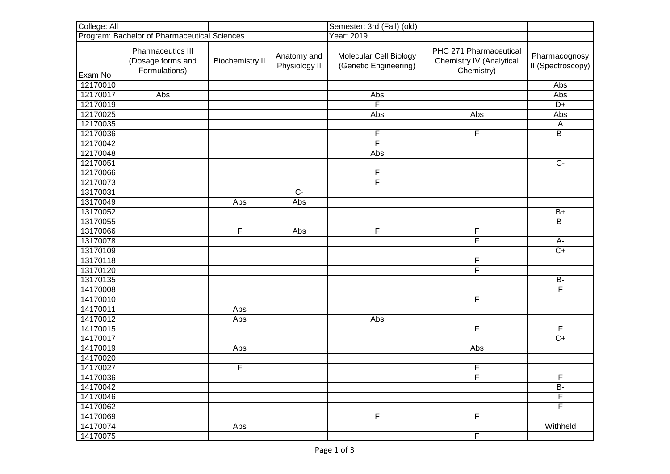| College: All                                 |                                                                |                        |                              | Semester: 3rd (Fall) (old)                      |                                                                  |                                    |
|----------------------------------------------|----------------------------------------------------------------|------------------------|------------------------------|-------------------------------------------------|------------------------------------------------------------------|------------------------------------|
| Program: Bachelor of Pharmaceutical Sciences |                                                                |                        |                              | Year: 2019                                      |                                                                  |                                    |
| Exam No                                      | <b>Pharmaceutics III</b><br>(Dosage forms and<br>Formulations) | <b>Biochemistry II</b> | Anatomy and<br>Physiology II | Molecular Cell Biology<br>(Genetic Engineering) | PHC 271 Pharmaceutical<br>Chemistry IV (Analytical<br>Chemistry) | Pharmacognosy<br>II (Spectroscopy) |
| 12170010                                     |                                                                |                        |                              |                                                 |                                                                  | Abs                                |
| 12170017                                     | Abs                                                            |                        |                              | Abs                                             |                                                                  | Abs                                |
| 12170019                                     |                                                                |                        |                              | F                                               |                                                                  | $D+$                               |
| 12170025                                     |                                                                |                        |                              | Abs                                             | Abs                                                              | Abs                                |
| 12170035                                     |                                                                |                        |                              |                                                 |                                                                  | A                                  |
| 12170036                                     |                                                                |                        |                              | F                                               | F                                                                | <b>B-</b>                          |
| 12170042                                     |                                                                |                        |                              | F                                               |                                                                  |                                    |
| 12170048                                     |                                                                |                        |                              | Abs                                             |                                                                  |                                    |
| 12170051                                     |                                                                |                        |                              |                                                 |                                                                  | $C -$                              |
| 12170066                                     |                                                                |                        |                              | F                                               |                                                                  |                                    |
| 12170073                                     |                                                                |                        |                              | F                                               |                                                                  |                                    |
| 13170031                                     |                                                                |                        | $C -$                        |                                                 |                                                                  |                                    |
| 13170049                                     |                                                                | Abs                    | Abs                          |                                                 |                                                                  |                                    |
| 13170052                                     |                                                                |                        |                              |                                                 |                                                                  | $B+$                               |
| 13170055                                     |                                                                |                        |                              |                                                 |                                                                  | <b>B-</b>                          |
| 13170066                                     |                                                                | F                      | Abs                          | F                                               | F                                                                |                                    |
| 13170078                                     |                                                                |                        |                              |                                                 | F                                                                | А-                                 |
| 13170109                                     |                                                                |                        |                              |                                                 |                                                                  | $C+$                               |
| 13170118                                     |                                                                |                        |                              |                                                 | F                                                                |                                    |
| 13170120                                     |                                                                |                        |                              |                                                 | F                                                                |                                    |
| 13170135                                     |                                                                |                        |                              |                                                 |                                                                  | <b>B-</b>                          |
| 14170008                                     |                                                                |                        |                              |                                                 |                                                                  | F                                  |
| 14170010                                     |                                                                |                        |                              |                                                 | F                                                                |                                    |
| 14170011                                     |                                                                | Abs                    |                              |                                                 |                                                                  |                                    |
| 14170012                                     |                                                                | Abs                    |                              | Abs                                             |                                                                  |                                    |
| 14170015                                     |                                                                |                        |                              |                                                 | $\overline{\mathsf{F}}$                                          | F                                  |
| 14170017                                     |                                                                |                        |                              |                                                 |                                                                  | $C+$                               |
| 14170019                                     |                                                                | Abs                    |                              |                                                 | Abs                                                              |                                    |
| 14170020                                     |                                                                |                        |                              |                                                 |                                                                  |                                    |
| 14170027                                     |                                                                | F                      |                              |                                                 | F                                                                |                                    |
| 14170036                                     |                                                                |                        |                              |                                                 | $\overline{F}$                                                   | $\overline{F}$                     |
| 14170042                                     |                                                                |                        |                              |                                                 |                                                                  | $\overline{B}$                     |
| 14170046                                     |                                                                |                        |                              |                                                 |                                                                  | $\overline{F}$                     |
| 14170062                                     |                                                                |                        |                              |                                                 |                                                                  | $\overline{\mathsf{F}}$            |
| 14170069                                     |                                                                |                        |                              | F                                               | $\overline{F}$                                                   |                                    |
| 14170074                                     |                                                                | Abs                    |                              |                                                 |                                                                  | Withheld                           |
| 14170075                                     |                                                                |                        |                              |                                                 | $\overline{F}$                                                   |                                    |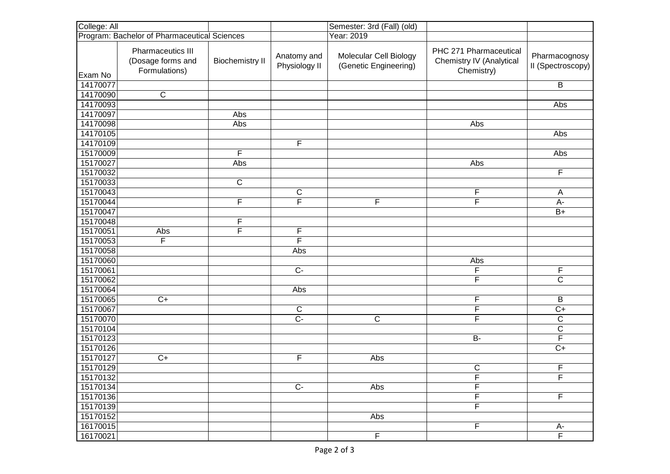| College: All                                 |                                                                |                        |                              | Semester: 3rd (Fall) (old)                      |                                                                  |                                    |
|----------------------------------------------|----------------------------------------------------------------|------------------------|------------------------------|-------------------------------------------------|------------------------------------------------------------------|------------------------------------|
| Program: Bachelor of Pharmaceutical Sciences |                                                                |                        |                              | Year: 2019                                      |                                                                  |                                    |
| Exam No                                      | <b>Pharmaceutics III</b><br>(Dosage forms and<br>Formulations) | <b>Biochemistry II</b> | Anatomy and<br>Physiology II | Molecular Cell Biology<br>(Genetic Engineering) | PHC 271 Pharmaceutical<br>Chemistry IV (Analytical<br>Chemistry) | Pharmacognosy<br>II (Spectroscopy) |
| 14170077                                     |                                                                |                        |                              |                                                 |                                                                  | B                                  |
| 14170090                                     | $\overline{\mathsf{c}}$                                        |                        |                              |                                                 |                                                                  |                                    |
| 14170093                                     |                                                                |                        |                              |                                                 |                                                                  | Abs                                |
| 14170097                                     |                                                                | Abs                    |                              |                                                 |                                                                  |                                    |
| 14170098                                     |                                                                | Abs                    |                              |                                                 | Abs                                                              |                                    |
| 14170105                                     |                                                                |                        |                              |                                                 |                                                                  | Abs                                |
| 14170109                                     |                                                                |                        | F                            |                                                 |                                                                  |                                    |
| 15170009                                     |                                                                | F                      |                              |                                                 |                                                                  | Abs                                |
| 15170027                                     |                                                                | Abs                    |                              |                                                 | Abs                                                              |                                    |
| 15170032                                     |                                                                |                        |                              |                                                 |                                                                  | F                                  |
| 15170033                                     |                                                                | $\overline{C}$         |                              |                                                 |                                                                  |                                    |
| 15170043                                     |                                                                |                        | $\mathsf C$                  |                                                 | F                                                                | A                                  |
| 15170044                                     |                                                                | F                      | F                            | F                                               | $\overline{\mathsf{F}}$                                          | $\overline{A}$                     |
| 15170047                                     |                                                                |                        |                              |                                                 |                                                                  | $B+$                               |
| 15170048                                     |                                                                | F                      |                              |                                                 |                                                                  |                                    |
| 15170051                                     | Abs                                                            | F                      | F                            |                                                 |                                                                  |                                    |
| 15170053                                     | F                                                              |                        | F                            |                                                 |                                                                  |                                    |
| 15170058                                     |                                                                |                        | Abs                          |                                                 |                                                                  |                                    |
| 15170060                                     |                                                                |                        |                              |                                                 | Abs                                                              |                                    |
| 15170061                                     |                                                                |                        | $\overline{C}$               |                                                 | F                                                                | F                                  |
| 15170062                                     |                                                                |                        |                              |                                                 | F                                                                | $\overline{C}$                     |
| 15170064                                     |                                                                |                        | Abs                          |                                                 |                                                                  |                                    |
| 15170065                                     | $\overline{C+}$                                                |                        |                              |                                                 | F                                                                | B                                  |
| 15170067                                     |                                                                |                        | C                            |                                                 | F                                                                | $C+$                               |
| 15170070                                     |                                                                |                        | $\overline{C}$               | C                                               | $\overline{F}$                                                   | $\overline{\mathsf{C}}$            |
| 15170104                                     |                                                                |                        |                              |                                                 |                                                                  | $\overline{\mathsf{c}}$            |
| 15170123                                     |                                                                |                        |                              |                                                 | $B -$                                                            | F                                  |
| 15170126                                     |                                                                |                        |                              |                                                 |                                                                  | $\overline{C+}$                    |
| 15170127                                     | $\overline{C+}$                                                |                        | F                            | Abs                                             |                                                                  |                                    |
| 15170129                                     |                                                                |                        |                              |                                                 | $\mathbf C$                                                      | F                                  |
| 15170132                                     |                                                                |                        |                              |                                                 | $\overline{F}$                                                   | $\overline{F}$                     |
| 15170134                                     |                                                                |                        | $\overline{C}$               | $\overline{Abs}$                                | $\overline{\mathsf{F}}$                                          |                                    |
| 15170136                                     |                                                                |                        |                              |                                                 | $\overline{F}$                                                   | F                                  |
| 15170139                                     |                                                                |                        |                              |                                                 | $\overline{\mathsf{F}}$                                          |                                    |
| 15170152                                     |                                                                |                        |                              | Abs                                             |                                                                  |                                    |
| 16170015                                     |                                                                |                        |                              |                                                 | F                                                                | $rac{A}{F}$                        |
| 16170021                                     |                                                                |                        |                              | $\overline{F}$                                  |                                                                  |                                    |